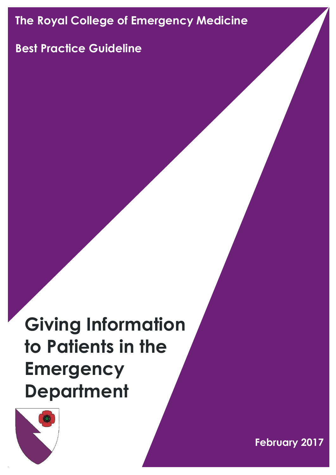# **The Royal College of Emergency Medicine**

# **Best Practice Guideline**

# **Giving Information to Patients in the Emergency Department**



**February 2017**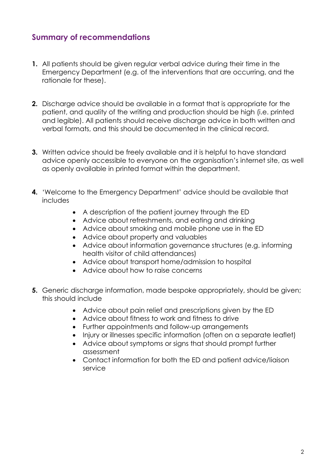### **Summary of recommendations**

- **1.** All patients should be given regular verbal advice during their time in the Emergency Department (e.g. of the interventions that are occurring, and the rationale for these).
- **2.** Discharge advice should be available in a format that is appropriate for the patient, and quality of the writing and production should be high (i.e. printed and legible). All patients should receive discharge advice in both written and verbal formats, and this should be documented in the clinical record.
- **3.** Written advice should be freely available and it is helpful to have standard advice openly accessible to everyone on the organisation's internet site, as well as openly available in printed format within the department.
- **4.** 'Welcome to the Emergency Department' advice should be available that includes
	- A description of the patient journey through the ED
	- Advice about refreshments, and eating and drinking
	- Advice about smoking and mobile phone use in the ED
	- Advice about property and valuables
	- Advice about information governance structures (e.g. informing health visitor of child attendances)
	- Advice about transport home/admission to hospital
	- Advice about how to raise concerns
- **5.** Generic discharge information, made bespoke appropriately, should be given; this should include
	- Advice about pain relief and prescriptions given by the ED
	- Advice about fitness to work and fitness to drive
	- Further appointments and follow-up arrangements
	- Injury or illnesses specific information (often on a separate leaflet)
	- Advice about symptoms or signs that should prompt further assessment
	- Contact information for both the ED and patient advice/liaison service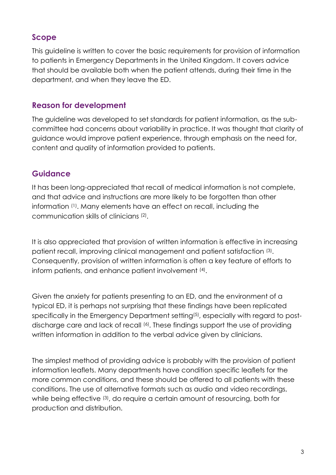# **Scope**

This guideline is written to cover the basic requirements for provision of information to patients in Emergency Departments in the United Kingdom. It covers advice that should be available both when the patient attends, during their time in the department, and when they leave the ED.

#### **Reason for development**

The guideline was developed to set standards for patient information, as the subcommittee had concerns about variability in practice. It was thought that clarity of guidance would improve patient experience, through emphasis on the need for, content and quality of information provided to patients.

# **Guidance**

It has been long-appreciated that recall of medical information is not complete, and that advice and instructions are more likely to be forgotten than other information (1) . Many elements have an effect on recall, including the communication skills of clinicians (2) .

It is also appreciated that provision of written information is effective in increasing patient recall, improving clinical management and patient satisfaction (3) . Consequently, provision of written information is often a key feature of efforts to inform patients, and enhance patient involvement (4) .

Given the anxiety for patients presenting to an ED, and the environment of a typical ED, it is perhaps not surprising that these findings have been replicated specifically in the Emergency Department setting<sup>(5)</sup>, especially with regard to postdischarge care and lack of recall (6). These findings support the use of providing written information in addition to the verbal advice given by clinicians.

The simplest method of providing advice is probably with the provision of patient information leaflets. Many departments have condition specific leaflets for the more common conditions, and these should be offered to all patients with these conditions. The use of alternative formats such as audio and video recordings, while being effective (3), do require a certain amount of resourcing, both for production and distribution.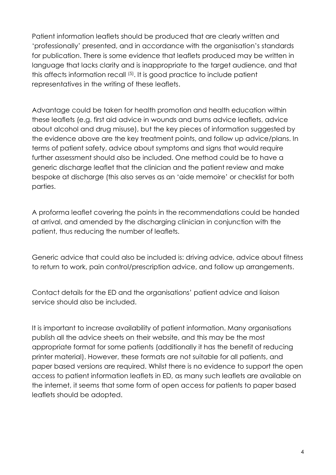Patient information leaflets should be produced that are clearly written and 'professionally' presented, and in accordance with the organisation's standards for publication. There is some evidence that leaflets produced may be written in language that lacks clarity and is inappropriate to the target audience, and that this affects information recall (5). It is good practice to include patient representatives in the writing of these leaflets.

Advantage could be taken for health promotion and health education within these leaflets (e.g. first aid advice in wounds and burns advice leaflets, advice about alcohol and drug misuse), but the key pieces of information suggested by the evidence above are the key treatment points, and follow up advice/plans. In terms of patient safety, advice about symptoms and signs that would require further assessment should also be included. One method could be to have a generic discharge leaflet that the clinician and the patient review and make bespoke at discharge (this also serves as an 'aide memoire' or checklist for both parties.

A proforma leaflet covering the points in the recommendations could be handed at arrival, and amended by the discharging clinician in conjunction with the patient, thus reducing the number of leaflets.

Generic advice that could also be included is: driving advice, advice about fitness to return to work, pain control/prescription advice, and follow up arrangements.

Contact details for the ED and the organisations' patient advice and liaison service should also be included.

It is important to increase availability of patient information. Many organisations publish all the advice sheets on their website, and this may be the most appropriate format for some patients (additionally it has the benefit of reducing printer material). However, these formats are not suitable for all patients, and paper based versions are required. Whilst there is no evidence to support the open access to patient information leaflets in ED, as many such leaflets are available on the internet, it seems that some form of open access for patients to paper based leaflets should be adopted.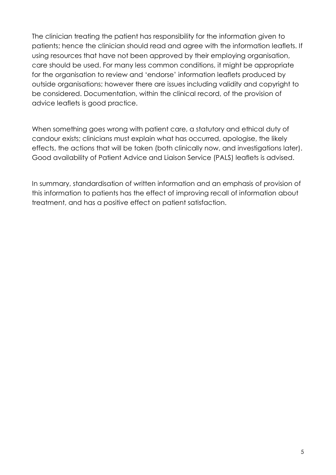The clinician treating the patient has responsibility for the information given to patients; hence the clinician should read and agree with the information leaflets. If using resources that have not been approved by their employing organisation, care should be used. For many less common conditions, it might be appropriate for the organisation to review and 'endorse' information leaflets produced by outside organisations; however there are issues including validity and copyright to be considered. Documentation, within the clinical record, of the provision of advice leaflets is good practice.

When something goes wrong with patient care, a statutory and ethical duty of candour exists; clinicians must explain what has occurred, apologise, the likely effects, the actions that will be taken (both clinically now, and investigations later). Good availability of Patient Advice and Liaison Service (PALS) leaflets is advised.

In summary, standardisation of written information and an emphasis of provision of this information to patients has the effect of improving recall of information about treatment, and has a positive effect on patient satisfaction.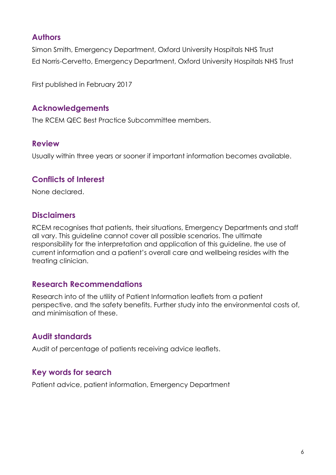## **Authors**

Simon Smith, Emergency Department, Oxford University Hospitals NHS Trust Ed Norris-Cervetto, Emergency Department, Oxford University Hospitals NHS Trust

First published in February 2017

#### **Acknowledgements**

The RCEM QEC Best Practice Subcommittee members.

#### **Review**

Usually within three years or sooner if important information becomes available.

#### **Conflicts of Interest**

None declared.

#### **Disclaimers**

RCEM recognises that patients, their situations, Emergency Departments and staff all vary. This guideline cannot cover all possible scenarios. The ultimate responsibility for the interpretation and application of this guideline, the use of current information and a patient's overall care and wellbeing resides with the treating clinician.

#### **Research Recommendations**

Research into of the utility of Patient Information leaflets from a patient perspective, and the safety benefits. Further study into the environmental costs of, and minimisation of these.

## **Audit standards**

Audit of percentage of patients receiving advice leaflets.

#### **Key words for search**

Patient advice, patient information, Emergency Department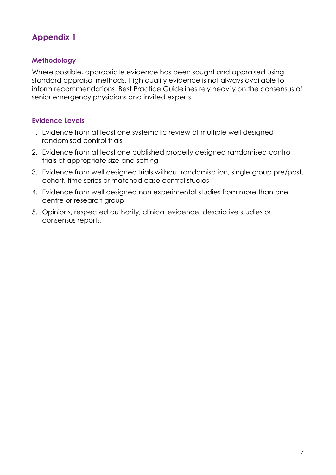# **Appendix 1**

#### **Methodology**

Where possible, appropriate evidence has been sought and appraised using standard appraisal methods. High quality evidence is not always available to inform recommendations. Best Practice Guidelines rely heavily on the consensus of senior emergency physicians and invited experts.

#### **Evidence Levels**

- 1. Evidence from at least one systematic review of multiple well designed randomised control trials
- 2. Evidence from at least one published properly designed randomised control trials of appropriate size and setting
- 3. Evidence from well designed trials without randomisation, single group pre/post, cohort, time series or matched case control studies
- 4. Evidence from well designed non experimental studies from more than one centre or research group
- 5. Opinions, respected authority, clinical evidence, descriptive studies or consensus reports.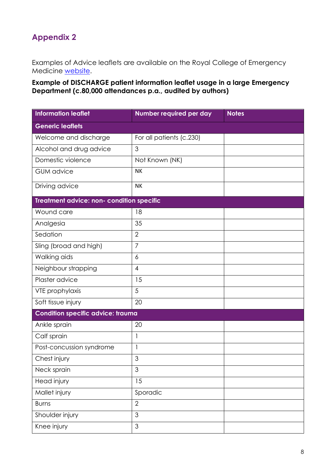# **Appendix 2**

Examples of Advice leaflets are available on the Royal College of Emergency Medicine [website.](http://www.rcem.ac.uk/RCEM/Quality_Policy/Clinical_Standards_Guidance/External_Guidance/RCEM/Quality-Policy/Clinical_Standards_Guidance/External_Guidance.aspx?hkey=058e57a2-8faf-4f63-867e-142a4826ce34)

**Example of DISCHARGE patient information leaflet usage in a large Emergency Department (c.80,000 attendances p.a., audited by authors)**

| <b>Information leaflet</b>                | Number required per day  | <b>Notes</b> |  |
|-------------------------------------------|--------------------------|--------------|--|
| <b>Generic leaflets</b>                   |                          |              |  |
| Welcome and discharge                     | For all patients (c.230) |              |  |
| Alcohol and drug advice                   | 3                        |              |  |
| Domestic violence                         | Not Known (NK)           |              |  |
| <b>GUM</b> advice                         | NK                       |              |  |
| Driving advice                            | <b>NK</b>                |              |  |
| Treatment advice: non- condition specific |                          |              |  |
| Wound care                                | 18                       |              |  |
| Analgesia                                 | 35                       |              |  |
| Sedation                                  | $\overline{2}$           |              |  |
| Sling (broad and high)                    | $\overline{7}$           |              |  |
| Walking aids                              | 6                        |              |  |
| Neighbour strapping                       | $\overline{4}$           |              |  |
| Plaster advice                            | 15                       |              |  |
| VTE prophylaxis                           | 5                        |              |  |
| Soft tissue injury                        | 20                       |              |  |
| <b>Condition specific advice: trauma</b>  |                          |              |  |
| Ankle sprain                              | 20                       |              |  |
| Calf sprain                               | $\mathbf{1}$             |              |  |
| Post-concussion syndrome                  | 1                        |              |  |
| Chest injury                              | 3                        |              |  |
| Neck sprain                               | 3                        |              |  |
| Head injury                               | 15                       |              |  |
| Mallet injury                             | Sporadic                 |              |  |
| <b>Burns</b>                              | $\overline{2}$           |              |  |
| Shoulder injury                           | 3                        |              |  |
| Knee injury                               | 3                        |              |  |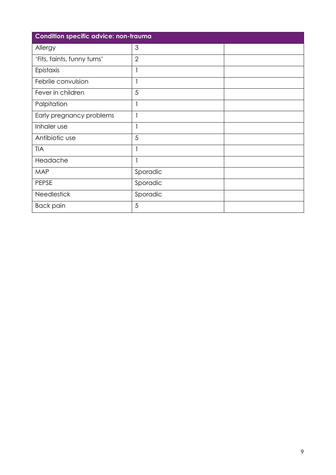| <b>Condition specific advice: non-trauma</b> |                |  |
|----------------------------------------------|----------------|--|
| Allergy                                      | 3              |  |
| 'Fits, faints, funny turns'                  | $\overline{2}$ |  |
| Epistaxis                                    | 1              |  |
| Febrile convulsion                           | 1              |  |
| Fever in children                            | 5              |  |
| Palpitation                                  | 1              |  |
| Early pregnancy problems                     |                |  |
| Inhaler use                                  | 1              |  |
| Antibiotic use                               | 5              |  |
| <b>TIA</b>                                   |                |  |
| Headache                                     | 1              |  |
| <b>MAP</b>                                   | Sporadic       |  |
| PEPSE                                        | Sporadic       |  |
| <b>Needlestick</b>                           | Sporadic       |  |
| <b>Back pain</b>                             | 5              |  |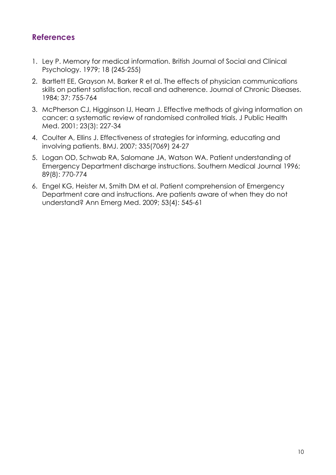## **References**

- 1. Ley P. Memory for medical information. British Journal of Social and Clinical Psychology. 1979; 18 (245-255)
- 2. Bartlett EE, Grayson M, Barker R et al. The effects of physician communications skills on patient satisfaction, recall and adherence. Journal of Chronic Diseases. 1984; 37: 755-764
- 3. McPherson CJ, Higginson IJ, Hearn J. Effective methods of giving information on cancer: a systematic review of randomised controlled trials. J Public Health Med. 2001; 23(3): 227-34
- 4. Coulter A, Ellins J. Effectiveness of strategies for informing, educating and involving patients. BMJ. 2007; 335(7069) 24-27
- 5. Logan OD, Schwab RA, Salomane JA, Watson WA. Patient understanding of Emergency Department discharge instructions. Southern Medical Journal 1996; 89(8): 770-774
- 6. Engel KG, Heister M, Smith DM et al. Patient comprehension of Emergency Department care and instructions. Are patients aware of when they do not understand? Ann Emerg Med. 2009; 53(4): 545-61